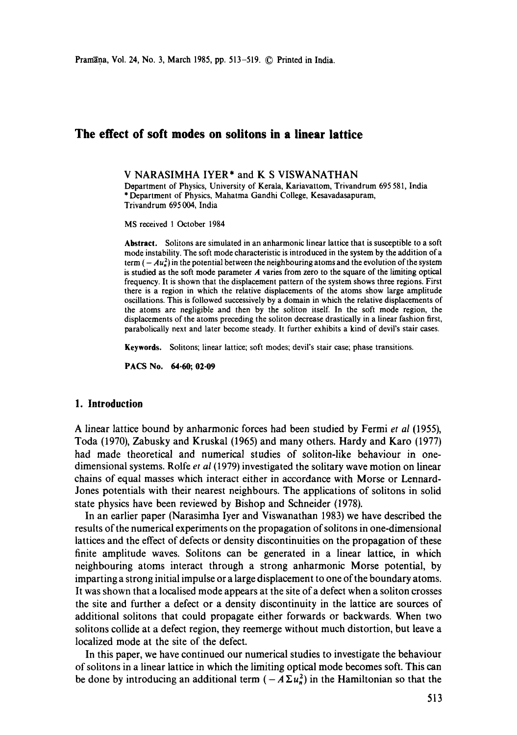# **The effect of soft modes on solitons in a linear lattice**

**V NARASIMHA IYER\* and K S** VISWANATHAN

Department of Physics, University of Kerala, Kariavattom, Trivandrum 695 581, India \* Department of Physics, Mahatma Gandhi College, Kesavadasapuram, Trivandrum 695 004, India

MS received 1 October 1984

**Abstract.** Solitons are simulated in an anharmonic linear lattice that is susceptible to a soft mode instability. The soft mode characteristic is introduced in the system by the addition of a term  $(-Au_n^2)$  in the potential between the neighbouring atoms and the evolution of the system is studied as the soft mode parameter  $\vec{A}$  varies from zero to the square of the limiting optical frequency. It is shown that the displacement pattern of the system shows three regions. First there is a region in which the relative displacements of the atoms show large amplitude oscillations. This is followed successively by a domain in which the relative displacements of the atoms are negligible and then by the soliton itself. In the soft mode region, the displacements of the atoms preceding the soliton decrease drastically in a linear fashion first, parabolically next and later become steady. It further exhibits a kind of devil's stair cases.

**Keywords.** Solitons; linear lattice; soft modes; devil's stair case; phase transitions.

PACS No. 64.60; 02.09

#### **1. Introduction**

A linear lattice bound by anharmonic forces had been studied by Fermi *et al* (1955), Toda (1970), Zabusky and Kruskal (1965) and many others. Hardy and Karo (1977) had made theoretical and numerical studies of soliton-like behaviour in onedimensional systems. Rolfe *et al* (1979) investigated the solitary wave motion on linear chains of equal masses which interact either in accordance with Morse or Lennard-Jones potentials with their nearest neighbours. The applications of solitons in solid state physics have been reviewed by Bishop and Schneider (1978).

In an earlier paper (Narasimha Iyer and Viswanathan 1983) we have described the results of the numerical experiments on the propagation ofsolitons in one-dimensional lattices and the effect of defects or density discontinuities on the propagation of these finite amplitude waves. Solitons can be generated in a linear lattice, in which neighbouring atoms interact through a strong anharmonic Morse potential, by imparting a strong initial impulse or a large displacement to one of the boundary atoms. It was shown that a localised mode appears at the site of a defect when a soliton crosses the site and further a defect or a density discontinuity in the lattice are sources of additional solitons that could propagate either forwards or backwards. When two solitons collide at a defect region, they reemerge without much distortion, but leave a localized mode at the site of the defect.

In this paper, we have continued our numerical studies to investigate the behaviour of solitons in a linear lattice in which the limiting optical mode becomes soft. This **can**  be done by introducing an additional term  $(-A \Sigma u_n^2)$  in the Hamiltonian so that the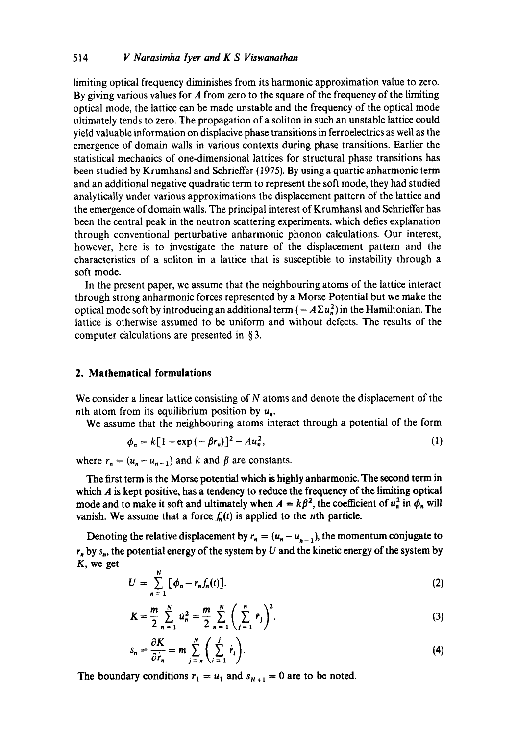## 514 *V Narasimha Iyer and K S Viswanathan*

limiting optical frequency diminishes from its harmonic approximation value to zero. By giving various values for A from zero to the square of the frequency of the limiting optical mode, the lattice can be made unstable and the frequency of the optical mode ultimately tends to zero. The propagation of a soliton in such an unstable lattice could yield valuable information on displacive phase transitions in ferroelectrics as well as the emergence of domain walls in various contexts during phase transitions. Earlier the statistical mechanics of one-dimensional lattices for structural phase transitions has been studied by Krumhansl and Schrieffer (1975). By using a quartic anharmonic term and an additional negative quadratic term to represent the soft mode, they had studied analytically under various approximations the displacement pattern of the lattice and the emergence of domain walls. The principal interest of Krumhansl and Schrieffer has been the central peak in the neutron scattering experiments, which defies explanation through conventional perturbative anharmonic phonon calculations. Our interest, however, here is to investigate the nature of the displacement pattern and the characteristics of a soliton in a lattice that is susceptible to instability through a soft mode.

In the present paper, we assume that the neighbouring atoms of the lattice interact through strong anharmonic forces represented by a Morse Potential but we make the optical mode soft by introducing an additional term  $(-A\Sigma u_n^2)$  in the Hamiltonian. The lattice is otherwise assumed to be uniform and without defects. The results of the computer calculations are presented in § 3.

## **2. Mathematical formulations**

We consider a linear lattice consisting of N atoms and denote the displacement of the nth atom from its equilibrium position by  $u_n$ .

We assume that the neighbouring atoms interact through a potential of the form

$$
\phi_n = k[1 - \exp(-\beta r_n)]^2 - Au_n^2, \tag{1}
$$

where  $r_n = (u_n - u_{n-1})$  and k and  $\beta$  are constants.

The first term is the Morse potential which is highly anharmonic. The second term in which  $A$  is kept positive, has a tendency to reduce the frequency of the limiting optical mode and to make it soft and ultimately when  $A = k\beta^2$ , the coefficient of  $u_n^2$  in  $\phi_n$  will vanish. We assume that a force  $f_n(t)$  is applied to the *n*th particle.

Denoting the relative displacement by  $r_n = (u_n - u_{n-1})$ , the momentum conjugate to  $r_n$  by  $s_n$ , the potential energy of the system by U and the kinetic energy of the system by K, we get

$$
U = \sum_{n=1}^{N} \left[ \phi_n - r_n f_n(t) \right]. \tag{2}
$$

$$
K = \frac{m}{2} \sum_{n=1}^{N} u_n^2 = \frac{m}{2} \sum_{n=1}^{N} \left( \sum_{j=1}^{n} r_j \right)^2.
$$
 (3)

$$
s_n = \frac{\partial K}{\partial \dot{r}_n} = m \sum_{j=n}^{N} \left( \sum_{i=1}^{j} \dot{r}_i \right).
$$
 (4)

The boundary conditions  $r_1 = u_1$  and  $s_{N+1} = 0$  are to be noted.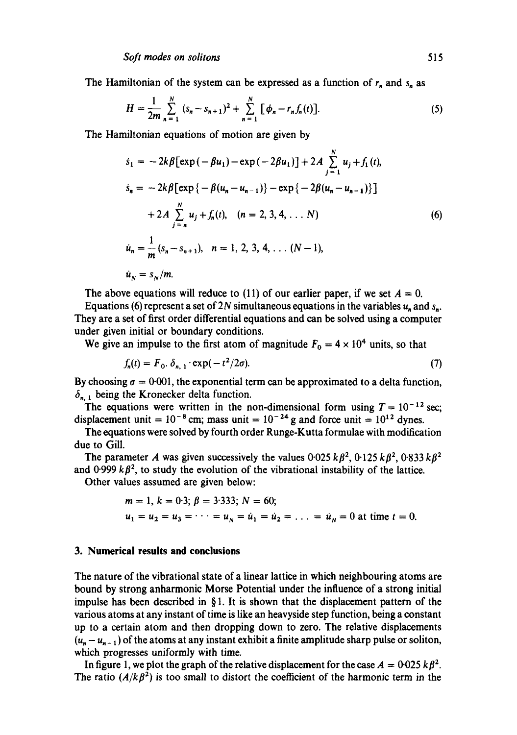The Hamiltonian of the system can be expressed as a function of  $r_n$  and  $s_n$  as

$$
H = \frac{1}{2m} \sum_{n=1}^{N} (s_n - s_{n+1})^2 + \sum_{n=1}^{N} [\phi_n - r_n f_n(t)].
$$
 (5)

The Hamiltonian equations of motion are given by

$$
\dot{s}_1 = -2k\beta \left[ \exp\left(-\beta u_1\right) - \exp\left(-2\beta u_1\right) \right] + 2A \sum_{j=1}^{N} u_j + f_1(t),
$$
\n
$$
\dot{s}_n = -2k\beta \left[ \exp\left\{-\beta (u_n - u_{n-1})\right\} - \exp\left\{-2\beta (u_n - u_{n-1})\right\} \right]
$$
\n
$$
+ 2A \sum_{j=n}^{N} u_j + f_n(t), \quad (n = 2, 3, 4, \dots N)
$$
\n
$$
\dot{u}_n = \frac{1}{m} (s_n - s_{n+1}), \quad n = 1, 2, 3, 4, \dots (N - 1),
$$
\n
$$
\dot{u}_N = s_N/m.
$$
\n(6)

The above equations will reduce to (11) of our earlier paper, if we set  $A = 0$ .

Equations (6) represent a set of 2N simultaneous equations in the variables  $u<sub>n</sub>$  and s<sub>n</sub>. They are a set of first order differential equations and can be solved using a computer under given initial or boundary conditions.

We give an impulse to the first atom of magnitude  $F_0 = 4 \times 10^4$  units, so that

$$
f_n(t) = F_0 \cdot \delta_{n,1} \cdot \exp(-t^2/2\sigma). \tag{7}
$$

By choosing  $\sigma = 0.001$ , the exponential term can be approximated to a delta function,  $\delta_{n,1}$  being the Kronecker delta function.

The equations were written in the non-dimensional form using  $T = 10^{-12}$  sec; displacement unit =  $10^{-8}$  cm; mass unit =  $10^{-24}$  g and force unit =  $10^{12}$  dynes.

The equations were solved by fourth order Runge-Kutta formulae with modification due to Gill.

The parameter A was given successively the values  $0.025 k\beta^2$ ,  $0.125 k\beta^2$ ,  $0.833 k\beta^2$ and  $0.999 k\beta^2$ , to study the evolution of the vibrational instability of the lattice.

Other values assumed are given below:

$$
m = 1, k = 0.3; \beta = 3.333; N = 60;
$$
  
 $u_1 = u_2 = u_3 = \cdots = u_N = \dot{u}_1 = \dot{u}_2 = \ldots = \dot{u}_N = 0$  at time  $t = 0$ .

#### **3. Numerical results and conclusions**

The nature of the vibrational state of a linear lattice in which neighbouring atoms are bound by strong anharmonic Morse Potential under the influence of a strong initial impulse has been described in  $\S 1$ . It is shown that the displacement pattern of the various atoms at any instant of time is like an heavyside step function, being a constant up to a certain atom and then dropping down to zero. The relative displacements  $(u_n - u_{n-1})$  of the atoms at any instant exhibit a finite amplitude sharp pulse or soliton, which progresses uniformly with time.

In figure 1, we plot the graph of the relative displacement for the case  $A = 0.025 k\beta^2$ . The ratio  $(A/k\beta^2)$  is too small to distort the coefficient of the harmonic term in the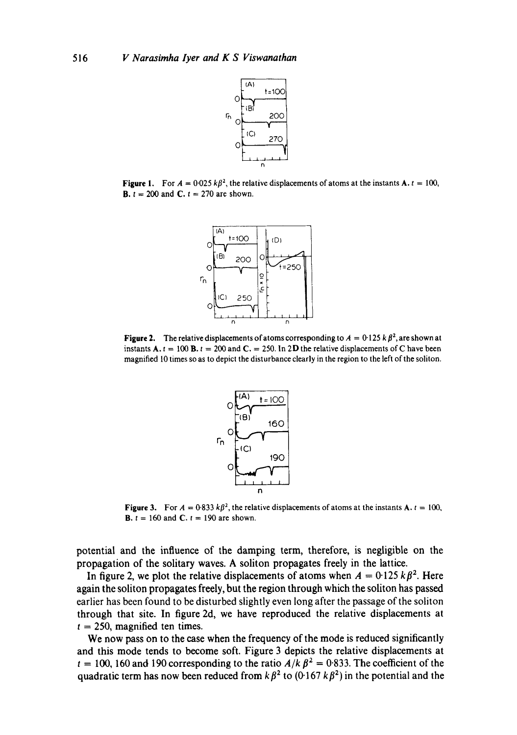

**Figure 1.** For  $A = 0.025 k\beta^2$ , the relative displacements of atoms at the instants **A.**  $t = 100$ , **B.**  $t = 200$  and **C.**  $t = 270$  are shown.



**Figure 2.** The relative displacements of atoms corresponding to  $A = 0.125 k \beta^2$ , are shown at instants  $A_1t = 100 B_1t = 200$  and  $C_1 = 250$ . In 2D the relative displacements of C have been magnified 10 times so as to depict the disturbance clearly in the region to the left of the soliton.



**Figure 3.** For  $A = 0.833 k\beta^2$ , the relative displacements of atoms at the instants **A.**  $t = 100$ , **B.**  $t = 160$  and **C.**  $t = 190$  are shown.

potential and the influence of the damping term, therefore, is negligible on the propagation of the solitary waves. A soliton propagates freely in the lattice.

In figure 2, we plot the relative displacements of atoms when  $A = 0.125 k \beta^2$ . Here again the soliton propagates freely, but the region through which the soliton has passed earlier has been found to be disturbed slightly even long after the passage of the soliton through that site. In figure 2d, we have reproduced the relative displacements at  $t = 250$ , magnified ten times.

We now pass on to the case when the frequency of the mode is reduced significantly and this mode tends to become soft. Figure 3 depicts the relative displacements at  $t = 100$ , 160 and 190 corresponding to the ratio  $A/k \beta^2 = 0.833$ . The coefficient of the quadratic term has now been reduced from  $k \beta^2$  to (0.167 k $\beta^2$ ) in the potential and the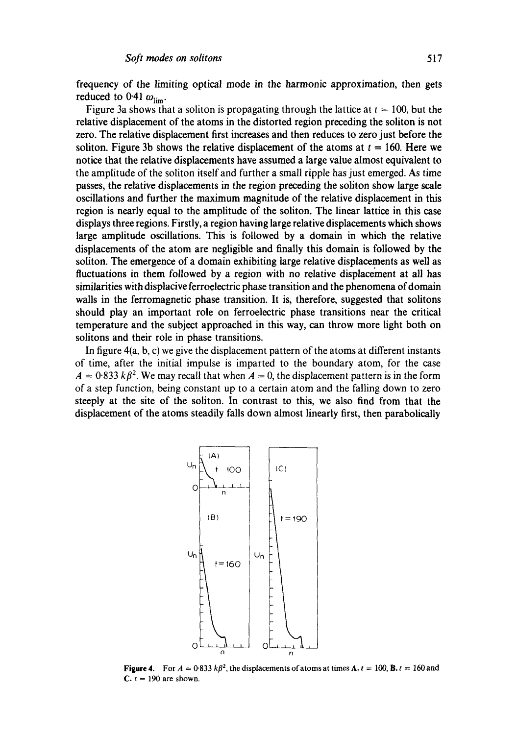frequency of the limiting optical mode in the harmonic approximation, then gets reduced to 0.41  $\omega_{\text{lim}}$ .

Figure 3a shows that a soliton is propagating through the lattice at  $t = 100$ , but the relative displacement of the atoms in the distorted region preceding the soliton is not zero. The relative displacement first increases and then reduces to zero just before the soliton. Figure 3b shows the relative displacement of the atoms at  $t = 160$ . Here we notice that the relative displacements have assumed a large value almost equivalent to the amplitude of the soliton itself and further a small ripple has just emerged. As time passes, the relative displacements in the region preceding the soliton show large scale oscillations and further the maximum magnitude of the relative displacement in this region is nearly equal to the amplitude of the soliton. The linear lattice in this ease displays three regions. Firstly, a region having large relative displacements which shows large amplitude oscillations. This is followed by a domain in which the relative displacements of the atom are negligible and finally this domain is followed by the soliton. The emergence of a domain exhibiting large relative displacements as well as fluctuations in them followed by a region with no relative displacement at all has similarities with displacive ferroelectric phase transition and the phenomena of domain walls in the ferromagnetic phase transition. It is, therefore, suggested that solitons should play an important role on ferroelectric phase transitions near the critical temperature and the subject approached in this way, can throw more light both on solitons and their role in phase transitions.

In figure 4(a, b, c) we give the displacement pattern of the atoms at different instants of time, after the initial impulse is imparted to the boundary atom, for the case  $A = 0.833 k\beta^2$ . We may recall that when  $A = 0$ , the displacement pattern is in the form of a step function, being constant up to a certain atom and the falling down to zero steeply at the site of the soliton. In contrast to this, we also find from that the displacement of the atoms steadily falls down almost linearly first, then parabolically



**Figure 4.** For  $A = 0.833 k\beta^2$ , the displacements of atoms at times  $A \cdot t = 100$ ,  $B \cdot t = 160$  and  $C. t = 190$  are shown.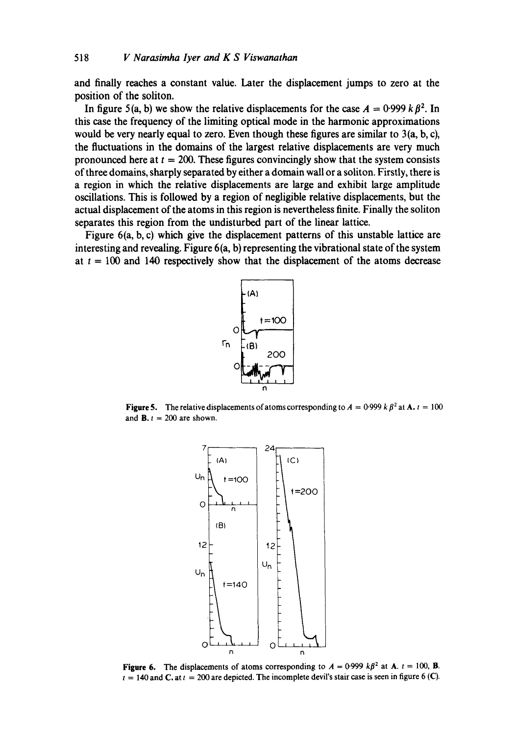**and finally reaches a constant value. Later the displacement jumps to zero at the position of the soliton.** 

In figure 5(a, b) we show the relative displacements for the case  $A = 0.999 k \beta^2$ . In **this case the frequency of the limiting optical mode in the harmonic approximations would be very nearly equal to zero. Even though these figures are similar to 3(a, b, c), the fluctuations in the domains of the largest relative displacements are very much**  pronounced here at  $t = 200$ . These figures convincingly show that the system consists **of three domains, sharply separated by either a domain wall or a soliton. Firstly, there is a region in which the relative displacements are large and exhibit large amplitude oscillations. This is followed by a region of negligible relative displacements, but the actual displacement of the atoms in this region is nevertheless finite. Finally the soliton separates this region from the undisturbed part of the linear lattice.** 

**Figure 6(a, b, c) which give the displacement patterns of this unstable lattice are interesting and revealing. Figure 6(a, b) representing the vibrational state of the system**  at  $t = 100$  and 140 respectively show that the displacement of the atoms decrease



**Figure 5.** The relative displacements of atoms corresponding to  $A = 0.999$  k  $\beta^2$  at A.  $t = 100$ and **B.**  $t = 200$  are shown.



**Figure 6.** The displacements of atoms corresponding to  $A = 0.999 k\beta^2$  at A.  $t = 100$ , B.  $t = 140$  and C. at  $t = 200$  are depicted. The incomplete devil's stair case is seen in figure 6 (C).